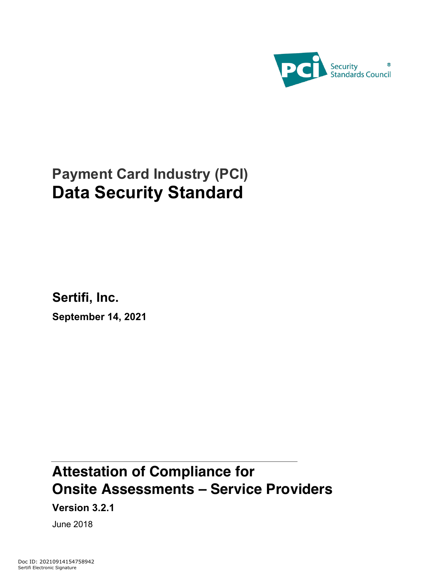

# **Payment Card Industry (PCI) Data Security Standard**

**Sertifi, Inc.**

**September 14, 2021**

# **Attestation of Compliance for Onsite Assessments – Service Providers**

**Version 3.2.1**

June 2018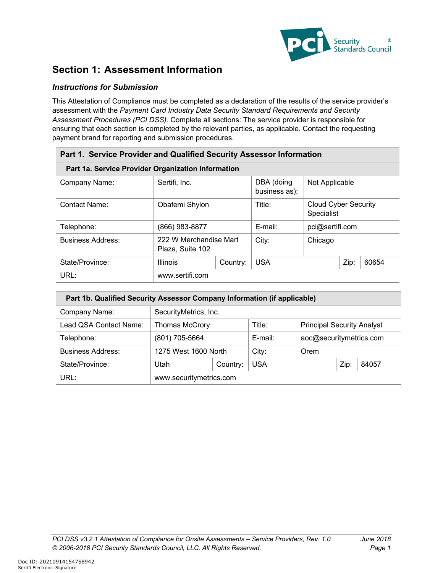

### **Section 1: Assessment Information**

### *Instructions for Submission*

This Attestation of Compliance must be completed as a declaration of the results of the service provider's assessment with the *Payment Card Industry Data Security Standard Requirements and Security Assessment Procedures (PCI DSS).* Complete all sections: The service provider is responsible for ensuring that each section is completed by the relevant parties, as applicable. Contact the requesting payment brand for reporting and submission procedures.

| Part 1. Service Provider and Qualified Security Assessor Information |                                            |          |                             |                                           |  |       |  |  |
|----------------------------------------------------------------------|--------------------------------------------|----------|-----------------------------|-------------------------------------------|--|-------|--|--|
| Part 1a. Service Provider Organization Information                   |                                            |          |                             |                                           |  |       |  |  |
| Company Name:                                                        | Sertifi, Inc.                              |          | DBA (doing<br>business as): | Not Applicable                            |  |       |  |  |
| <b>Contact Name:</b>                                                 | Obafemi Shylon                             |          | Title:                      | <b>Cloud Cyber Security</b><br>Specialist |  |       |  |  |
| Telephone:                                                           | (866) 983-8877                             |          | $E$ -mail:                  | pci@sertifi.com                           |  |       |  |  |
| <b>Business Address:</b>                                             | 222 W Merchandise Mart<br>Plaza, Suite 102 |          | City:                       | Chicago                                   |  |       |  |  |
| State/Province:                                                      | <b>Illinois</b>                            | Country: | Zip:<br><b>USA</b>          |                                           |  | 60654 |  |  |
| URL:                                                                 | www.sertifi.com                            |          |                             |                                           |  |       |  |  |

| Part 1b. Qualified Security Assessor Company Information (if applicable) |                         |                                             |         |                         |      |       |  |
|--------------------------------------------------------------------------|-------------------------|---------------------------------------------|---------|-------------------------|------|-------|--|
| Company Name:                                                            |                         | SecurityMetrics, Inc.                       |         |                         |      |       |  |
| Lead QSA Contact Name:                                                   | <b>Thomas McCrory</b>   | <b>Principal Security Analyst</b><br>Title: |         |                         |      |       |  |
| Telephone:                                                               | (801) 705-5664          |                                             | E-mail: | aoc@securitymetrics.com |      |       |  |
| <b>Business Address:</b>                                                 | 1275 West 1600 North    |                                             | City:   | Orem                    |      |       |  |
| State/Province:                                                          | Utah                    | Country:                                    | USA     |                         | Zip: | 84057 |  |
| URL:                                                                     | www.securitymetrics.com |                                             |         |                         |      |       |  |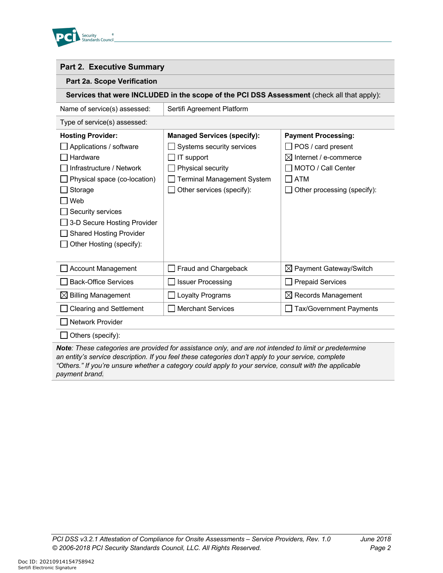

### **Part 2. Executive Summary**

### **Part 2a. Scope Verification**

**Services that were INCLUDED in the scope of the PCI DSS Assessment** (check all that apply):

| Name of service(s) assessed: | Sertifi Agreement Platform |
|------------------------------|----------------------------|
| Type of service(s) assessed: |                            |

| <b>Hosting Provider:</b>            | <b>Managed Services (specify):</b> | <b>Payment Processing:</b>         |
|-------------------------------------|------------------------------------|------------------------------------|
| Applications / software             | Systems security services          | POS / card present                 |
| <b>Hardware</b>                     | IT support                         | $\boxtimes$ Internet / e-commerce  |
| I Infrastructure / Network          | Physical security                  | MOTO / Call Center                 |
| $\Box$ Physical space (co-location) | Terminal Management System         | <b>ATM</b>                         |
| $\Box$ Storage                      | Other services (specify):          | Other processing (specify):        |
| l Web                               |                                    |                                    |
| Security services                   |                                    |                                    |
| 3-D Secure Hosting Provider         |                                    |                                    |
| <b>Shared Hosting Provider</b>      |                                    |                                    |
| Other Hosting (specify):            |                                    |                                    |
|                                     |                                    |                                    |
| <b>Account Management</b>           | Fraud and Chargeback               | $\boxtimes$ Payment Gateway/Switch |
| <b>Back-Office Services</b>         | <b>Issuer Processing</b>           | <b>Prepaid Services</b>            |
| $\boxtimes$ Billing Management      | Loyalty Programs                   | $\boxtimes$ Records Management     |
| <b>Clearing and Settlement</b>      | <b>Merchant Services</b>           | <b>Tax/Government Payments</b>     |
| l Network Provider                  |                                    |                                    |

Others (specify):

*Note: These categories are provided for assistance only, and are not intended to limit or predetermine an entity's service description. If you feel these categories don't apply to your service, complete "Others." If you're unsure whether a category could apply to your service, consult with the applicable payment brand.*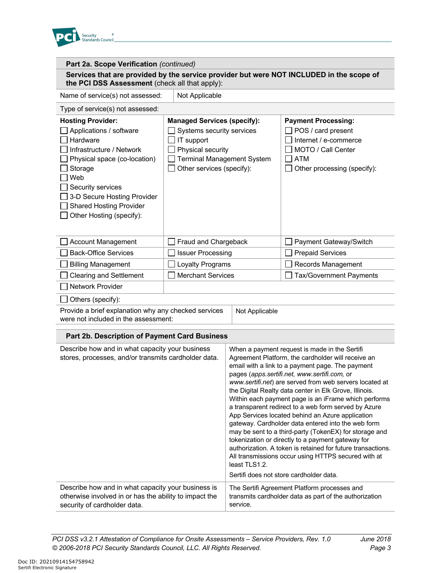

| Part 2a. Scope Verification (continued)                                                                                                                                                                                                                         |                                                                                                                                                                      |                |                                                                                                                                                                                                                                                                    |
|-----------------------------------------------------------------------------------------------------------------------------------------------------------------------------------------------------------------------------------------------------------------|----------------------------------------------------------------------------------------------------------------------------------------------------------------------|----------------|--------------------------------------------------------------------------------------------------------------------------------------------------------------------------------------------------------------------------------------------------------------------|
| the PCI DSS Assessment (check all that apply):                                                                                                                                                                                                                  |                                                                                                                                                                      |                | Services that are provided by the service provider but were NOT INCLUDED in the scope of                                                                                                                                                                           |
| Name of service(s) not assessed:                                                                                                                                                                                                                                | Not Applicable                                                                                                                                                       |                |                                                                                                                                                                                                                                                                    |
| Type of service(s) not assessed:                                                                                                                                                                                                                                |                                                                                                                                                                      |                |                                                                                                                                                                                                                                                                    |
| <b>Hosting Provider:</b><br>Applications / software<br>Hardware<br>Infrastructure / Network<br>Physical space (co-location)<br>Storage<br>Web<br>Security services<br>3-D Secure Hosting Provider<br><b>Shared Hosting Provider</b><br>Other Hosting (specify): | <b>Managed Services (specify):</b><br>Systems security services<br>IT support<br>Physical security<br><b>Terminal Management System</b><br>Other services (specify): |                | <b>Payment Processing:</b><br>POS / card present<br>Internet / e-commerce<br>MOTO / Call Center<br><b>ATM</b><br>Other processing (specify):                                                                                                                       |
| <b>Account Management</b>                                                                                                                                                                                                                                       | Fraud and Chargeback                                                                                                                                                 |                | Payment Gateway/Switch                                                                                                                                                                                                                                             |
| <b>Back-Office Services</b>                                                                                                                                                                                                                                     | <b>Issuer Processing</b>                                                                                                                                             |                | <b>Prepaid Services</b>                                                                                                                                                                                                                                            |
| <b>Billing Management</b>                                                                                                                                                                                                                                       | Loyalty Programs                                                                                                                                                     |                | Records Management                                                                                                                                                                                                                                                 |
| <b>Clearing and Settlement</b>                                                                                                                                                                                                                                  | <b>Merchant Services</b>                                                                                                                                             |                | Tax/Government Payments                                                                                                                                                                                                                                            |
| <b>Network Provider</b>                                                                                                                                                                                                                                         |                                                                                                                                                                      |                |                                                                                                                                                                                                                                                                    |
| Others (specify):                                                                                                                                                                                                                                               |                                                                                                                                                                      |                |                                                                                                                                                                                                                                                                    |
| Provide a brief explanation why any checked services<br>were not included in the assessment:                                                                                                                                                                    |                                                                                                                                                                      | Not Applicable |                                                                                                                                                                                                                                                                    |
| Part 2b. Description of Payment Card Business                                                                                                                                                                                                                   |                                                                                                                                                                      |                |                                                                                                                                                                                                                                                                    |
| Describe how and in what capacity your business<br>stores, processes, and/or transmits cardholder data.                                                                                                                                                         |                                                                                                                                                                      |                | When a payment request is made in the Sertifi<br>Agreement Platform, the cardholder will receive an<br>email with a link to a payment page. The payment<br>pages (apps.sertifi.net, www.sertifi.com, or<br>www.sertifi.net) are served from web servers located at |

authorization. A token is retained for future transactions. All transmissions occur using HTTPS secured with at least TLS1.2. Sertifi does not store cardholder data. Describe how and in what capacity your business is otherwise involved in or has the ability to impact the security of cardholder data. The Sertifi Agreement Platform processes and transmits cardholder data as part of the authorization service.

the Digital Realty data center in Elk Grove, Illinois. Within each payment page is an iFrame which performs a transparent redirect to a web form served by Azure App Services located behind an Azure application gateway. Cardholder data entered into the web form may be sent to a third-party (TokenEX) for storage and tokenization or directly to a payment gateway for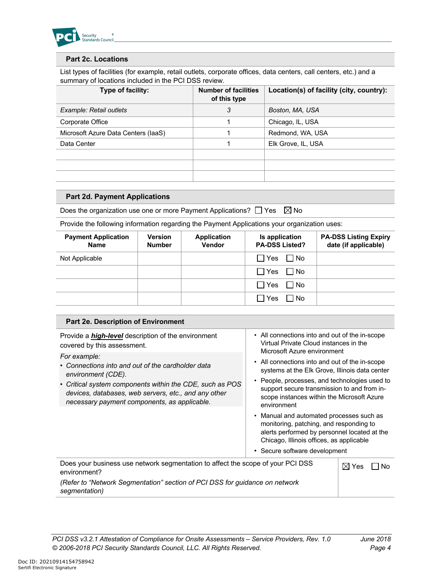

### **Part 2c. Locations**

List types of facilities (for example, retail outlets, corporate offices, data centers, call centers, etc.) and a summary of locations included in the PCI DSS review.

| Type of facility:                   | <b>Number of facilities</b><br>of this type | Location(s) of facility (city, country): |
|-------------------------------------|---------------------------------------------|------------------------------------------|
| Example: Retail outlets             | 3                                           | Boston, MA, USA                          |
| Corporate Office                    |                                             | Chicago, IL, USA                         |
| Microsoft Azure Data Centers (IaaS) |                                             | Redmond, WA, USA                         |
| Data Center                         |                                             | Elk Grove, IL, USA                       |
|                                     |                                             |                                          |
|                                     |                                             |                                          |
|                                     |                                             |                                          |

### **Part 2d. Payment Applications**

Does the organization use one or more Payment Applications?  $\Box$  Yes  $\boxtimes$  No

Provide the following information regarding the Payment Applications your organization uses:

| <b>Payment Application</b><br><b>Name</b> | <b>Version</b><br><b>Number</b> | <b>Application</b><br>Vendor | Is application<br><b>PA-DSS Listed?</b> | <b>PA-DSS Listing Expiry</b><br>date (if applicable) |
|-------------------------------------------|---------------------------------|------------------------------|-----------------------------------------|------------------------------------------------------|
| Not Applicable                            |                                 |                              | $\Box$ Yes $\Box$ No                    |                                                      |
|                                           |                                 |                              | $\Box$ Yes $\Box$ No                    |                                                      |
|                                           |                                 |                              | No Nes No                               |                                                      |
|                                           |                                 |                              | $\Box$ Yes<br>l No                      |                                                      |

#### **Part 2e. Description of Environment**  Provide a *high-level* description of the environment covered by this assessment. *For example:* • *Connections into and out of the cardholder data environment (CDE).* • *Critical system components within the CDE, such as POS devices, databases, web servers, etc., and any other necessary payment components, as applicable.* • All connections into and out of the in-scope Virtual Private Cloud instances in the Microsoft Azure environment • All connections into and out of the in-scope systems at the Elk Grove, Illinois data center • People, processes, and technologies used to support secure transmission to and from inscope instances within the Microsoft Azure environment • Manual and automated processes such as monitoring, patching, and responding to alerts performed by personnel located at the Chicago, Illinois offices, as applicable • Secure software development Does your business use network segmentation to affect the scope of your PCI DSS environment? *(Refer to "Network Segmentation" section of PCI DSS for guidance on network*   $\boxtimes$  Yes  $\Box$  No

*segmentation)*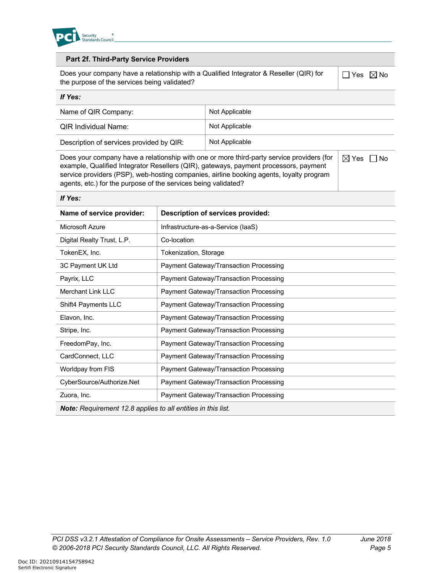

*If Yes:* 

*If Yes:* 

### **Part 2f. Third-Party Service Providers**

Does your company have a relationship with a Qualified Integrator & Reseller (QIR) for the purpose of the services being validated?

 $\Box$  Yes  $\boxtimes$  No

 $\boxtimes$  Yes  $\Box$  No

| Name of QIR Company:                     | Not Applicable |
|------------------------------------------|----------------|
| <b>QIR Individual Name:</b>              | Not Applicable |
| Description of services provided by QIR: | Not Applicable |

Does your company have a relationship with one or more third-party service providers (for example, Qualified Integrator Resellers (QIR), gateways, payment processors, payment service providers (PSP), web-hosting companies, airline booking agents, loyalty program agents, etc.) for the purpose of the services being validated?

| ii res:                                                             |                                               |
|---------------------------------------------------------------------|-----------------------------------------------|
| Name of service provider:                                           | Description of services provided:             |
| Microsoft Azure                                                     | Infrastructure-as-a-Service (laaS)            |
| Digital Realty Trust, L.P.                                          | Co-location                                   |
| TokenEX, Inc.                                                       | Tokenization, Storage                         |
| 3C Payment UK Ltd                                                   | <b>Payment Gateway/Transaction Processing</b> |
| Payrix, LLC                                                         | <b>Payment Gateway/Transaction Processing</b> |
| <b>Merchant Link LLC</b>                                            | Payment Gateway/Transaction Processing        |
| Shift4 Payments LLC                                                 | Payment Gateway/Transaction Processing        |
| Elavon, Inc.                                                        | <b>Payment Gateway/Transaction Processing</b> |
| Stripe, Inc.                                                        | Payment Gateway/Transaction Processing        |
| FreedomPay, Inc.                                                    | <b>Payment Gateway/Transaction Processing</b> |
| CardConnect, LLC                                                    | <b>Payment Gateway/Transaction Processing</b> |
| Worldpay from FIS                                                   | <b>Payment Gateway/Transaction Processing</b> |
| CyberSource/Authorize.Net                                           | <b>Payment Gateway/Transaction Processing</b> |
| Zuora, Inc.                                                         | <b>Payment Gateway/Transaction Processing</b> |
| <b>Note:</b> Requirement 12.8 applies to all entities in this list. |                                               |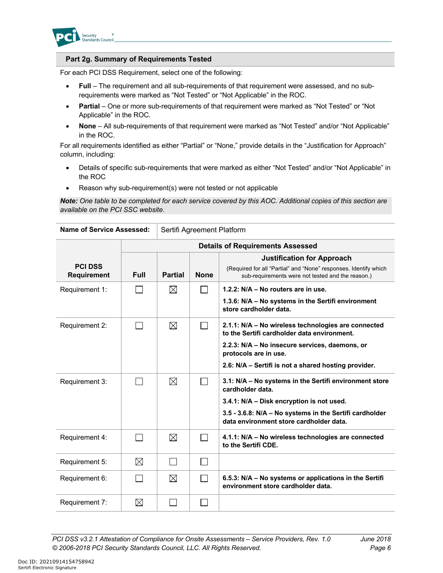

### **Part 2g. Summary of Requirements Tested**

For each PCI DSS Requirement, select one of the following:

- **Full** The requirement and all sub-requirements of that requirement were assessed, and no subrequirements were marked as "Not Tested" or "Not Applicable" in the ROC.
- **Partial** One or more sub-requirements of that requirement were marked as "Not Tested" or "Not Applicable" in the ROC.
- **None** All sub-requirements of that requirement were marked as "Not Tested" and/or "Not Applicable" in the ROC.

For all requirements identified as either "Partial" or "None," provide details in the "Justification for Approach" column, including:

- Details of specific sub-requirements that were marked as either "Not Tested" and/or "Not Applicable" in the ROC
- Reason why sub-requirement(s) were not tested or not applicable

*Note: One table to be completed for each service covered by this AOC. Additional copies of this section are available on the PCI SSC website*.

| <b>Name of Service Assessed:</b>     |             | Sertifi Agreement Platform |                                         |                                                                                                                                                            |  |  |  |  |
|--------------------------------------|-------------|----------------------------|-----------------------------------------|------------------------------------------------------------------------------------------------------------------------------------------------------------|--|--|--|--|
|                                      |             |                            | <b>Details of Requirements Assessed</b> |                                                                                                                                                            |  |  |  |  |
| <b>PCI DSS</b><br><b>Requirement</b> | <b>Full</b> | <b>Partial</b>             | <b>None</b>                             | <b>Justification for Approach</b><br>(Required for all "Partial" and "None" responses. Identify which<br>sub-requirements were not tested and the reason.) |  |  |  |  |
| Requirement 1:                       |             | $\boxtimes$                |                                         | 1.2.2: $N/A - No$ routers are in use.                                                                                                                      |  |  |  |  |
|                                      |             |                            |                                         | 1.3.6: N/A - No systems in the Sertifi environment<br>store cardholder data.                                                                               |  |  |  |  |
| Requirement 2:                       | $\sim$      | $\boxtimes$                | $\Box$                                  | 2.1.1: N/A – No wireless technologies are connected<br>to the Sertifi cardholder data environment.                                                         |  |  |  |  |
|                                      |             |                            |                                         | 2.2.3: N/A - No insecure services, daemons, or<br>protocols are in use.                                                                                    |  |  |  |  |
|                                      |             |                            |                                         | 2.6: N/A - Sertifi is not a shared hosting provider.                                                                                                       |  |  |  |  |
| Requirement 3:                       |             | $\boxtimes$                |                                         | 3.1: N/A - No systems in the Sertifi environment store<br>cardholder data.                                                                                 |  |  |  |  |
|                                      |             |                            |                                         | 3.4.1: N/A - Disk encryption is not used.                                                                                                                  |  |  |  |  |
|                                      |             |                            |                                         | 3.5 - 3.6.8: N/A – No systems in the Sertifi cardholder<br>data environment store cardholder data.                                                         |  |  |  |  |
| Requirement 4:                       |             | $\boxtimes$                |                                         | 4.1.1: N/A - No wireless technologies are connected<br>to the Sertifi CDE.                                                                                 |  |  |  |  |
| Requirement 5:                       | ⊠           |                            | <b>Contract</b>                         |                                                                                                                                                            |  |  |  |  |
| Requirement 6:                       |             | $\boxtimes$                | <b>Contract</b>                         | 6.5.3: N/A - No systems or applications in the Sertifi<br>environment store cardholder data.                                                               |  |  |  |  |
| Requirement 7:                       | $\boxtimes$ |                            |                                         |                                                                                                                                                            |  |  |  |  |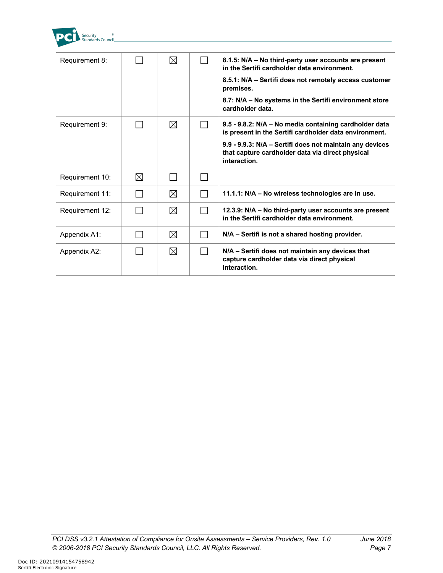

| Requirement 8:  |   | $\boxtimes$ | 8.1.5: N/A – No third-party user accounts are present<br>in the Sertifi cardholder data environment.<br>8.5.1: N/A - Sertifi does not remotely access customer<br>premises.<br>8.7: N/A - No systems in the Sertifi environment store<br>cardholder data. |
|-----------------|---|-------------|-----------------------------------------------------------------------------------------------------------------------------------------------------------------------------------------------------------------------------------------------------------|
| Requirement 9:  |   | $\boxtimes$ | 9.5 - 9.8.2: N/A - No media containing cardholder data<br>is present in the Sertifi cardholder data environment.                                                                                                                                          |
|                 |   |             | 9.9 - 9.9.3: N/A - Sertifi does not maintain any devices<br>that capture cardholder data via direct physical<br>interaction.                                                                                                                              |
| Requirement 10: | ⊠ |             |                                                                                                                                                                                                                                                           |
| Requirement 11: |   | $\boxtimes$ | 11.1.1: N/A – No wireless technologies are in use.                                                                                                                                                                                                        |
| Requirement 12: |   | $\boxtimes$ | 12.3.9: N/A – No third-party user accounts are present<br>in the Sertifi cardholder data environment.                                                                                                                                                     |
| Appendix A1:    |   | $\boxtimes$ | N/A - Sertifi is not a shared hosting provider.                                                                                                                                                                                                           |
| Appendix A2:    |   | $\boxtimes$ | N/A – Sertifi does not maintain any devices that<br>capture cardholder data via direct physical<br>interaction.                                                                                                                                           |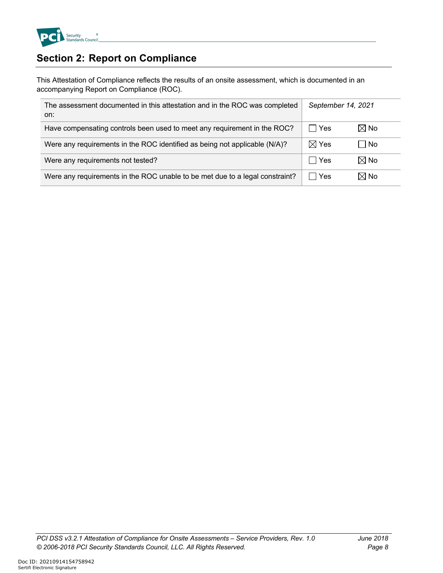

## **Section 2: Report on Compliance**

This Attestation of Compliance reflects the results of an onsite assessment, which is documented in an accompanying Report on Compliance (ROC).

| The assessment documented in this attestation and in the ROC was completed<br>on: | September 14, 2021 |                |
|-----------------------------------------------------------------------------------|--------------------|----------------|
| Have compensating controls been used to meet any requirement in the ROC?          | <b>Yes</b>         | $\boxtimes$ No |
| Were any requirements in the ROC identified as being not applicable (N/A)?        | $\boxtimes$ Yes    | ∣ No           |
| Were any requirements not tested?                                                 | Yes                | $\boxtimes$ No |
| Were any requirements in the ROC unable to be met due to a legal constraint?      | Yes                | $\boxtimes$ No |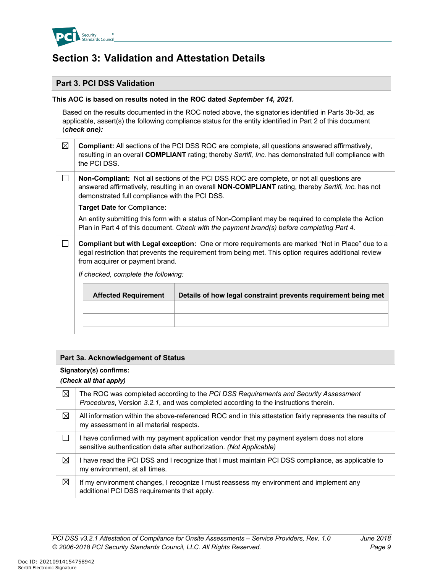

## **Section 3: Validation and Attestation Details**

### **Part 3. PCI DSS Validation**

### **This AOC is based on results noted in the ROC dated** *September 14, 2021.*

Based on the results documented in the ROC noted above, the signatories identified in Parts 3b-3d, as applicable, assert(s) the following compliance status for the entity identified in Part 2 of this document (*check one):*

| ⊠ | Compliant: All sections of the PCI DSS ROC are complete, all questions answered affirmatively,<br>resulting in an overall COMPLIANT rating; thereby Sertifi, Inc. has demonstrated full compliance with<br>the PCI DSS.                                          |
|---|------------------------------------------------------------------------------------------------------------------------------------------------------------------------------------------------------------------------------------------------------------------|
|   | <b>Non-Compliant:</b> Not all sections of the PCI DSS ROC are complete, or not all questions are<br>answered affirmatively, resulting in an overall <b>NON-COMPLIANT</b> rating, thereby Sertifi, Inc. has not<br>demonstrated full compliance with the PCI DSS. |
|   | <b>Target Date for Compliance:</b>                                                                                                                                                                                                                               |
|   | An entity submitting this form with a status of Non-Compliant may be required to complete the Action<br>Plan in Part 4 of this document. Check with the payment brand(s) before completing Part 4.                                                               |
|   | Compliant but with Legal exception: One or more requirements are marked "Not in Place" due to a<br>legal restriction that prevents the requirement from being met. This option requires additional review<br>from acquirer or payment brand.                     |
|   | If checked, complete the following:                                                                                                                                                                                                                              |
|   |                                                                                                                                                                                                                                                                  |

| <b>Affected Requirement</b> | Details of how legal constraint prevents requirement being met |
|-----------------------------|----------------------------------------------------------------|
|                             |                                                                |
|                             |                                                                |

### **Part 3a. Acknowledgement of Status**

#### **Signatory(s) confirms:**

#### *(Check all that apply)*

| ⊠ | The ROC was completed according to the PCI DSS Requirements and Security Assessment<br>Procedures, Version 3.2.1, and was completed according to the instructions therein. |
|---|----------------------------------------------------------------------------------------------------------------------------------------------------------------------------|
| ⊠ | All information within the above-referenced ROC and in this attestation fairly represents the results of<br>my assessment in all material respects.                        |
|   | I have confirmed with my payment application vendor that my payment system does not store<br>sensitive authentication data after authorization. (Not Applicable)           |
| ⊠ | I have read the PCI DSS and I recognize that I must maintain PCI DSS compliance, as applicable to<br>my environment, at all times.                                         |
| ⊠ | If my environment changes, I recognize I must reassess my environment and implement any<br>additional PCI DSS requirements that apply.                                     |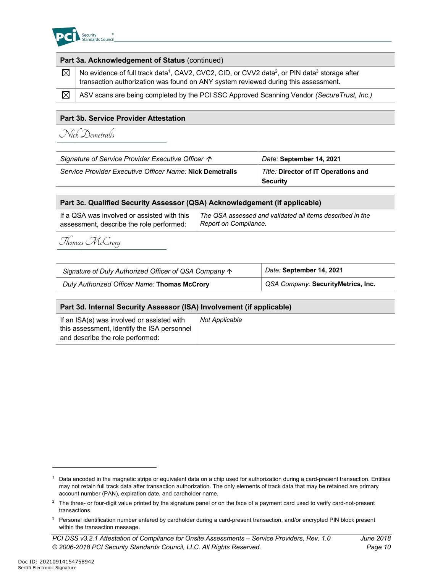

| Part 3a. Acknowledgement of Status (continued) |                                                                                                                                                                                                                         |  |  |
|------------------------------------------------|-------------------------------------------------------------------------------------------------------------------------------------------------------------------------------------------------------------------------|--|--|
| $\boxtimes$                                    | No evidence of full track data <sup>1</sup> , CAV2, CVC2, CID, or CVV2 data <sup>2</sup> , or PIN data <sup>3</sup> storage after<br>transaction authorization was found on ANY system reviewed during this assessment. |  |  |
| $\boxtimes$                                    | ASV scans are being completed by the PCI SSC Approved Scanning Vendor (Secure Trust, Inc.)                                                                                                                              |  |  |
| Dout 2h Camisa Dravidar Attactation            |                                                                                                                                                                                                                         |  |  |

### **Part 3b. Service Provider Attestation**

Nick Demetralis

| Signature of Service Provider Executive Officer $\hat{\mathcal{P}}$ | Date: September 14, 2021                    |  |
|---------------------------------------------------------------------|---------------------------------------------|--|
| Service Provider Executive Officer Name: Nick Demetralis            | <b>Title: Director of IT Operations and</b> |  |
|                                                                     | Security                                    |  |

| Part 3c. Qualified Security Assessor (QSA) Acknowledgement (if applicable) |                                                           |  |  |
|----------------------------------------------------------------------------|-----------------------------------------------------------|--|--|
| If a QSA was involved or assisted with this                                | The QSA assessed and validated all items described in the |  |  |
| assessment, describe the role performed:                                   | Report on Compliance.                                     |  |  |

# Thomas McCrory

| Signature of Duly Authorized Officer of QSA Company $\uparrow$ | Date: September 14, 2021           |  |
|----------------------------------------------------------------|------------------------------------|--|
| Duly Authorized Officer Name: Thomas McCrory                   | QSA Company: SecurityMetrics, Inc. |  |

| Part 3d. Internal Security Assessor (ISA) Involvement (if applicable)                                                         |                |  |  |
|-------------------------------------------------------------------------------------------------------------------------------|----------------|--|--|
| If an ISA(s) was involved or assisted with<br>this assessment, identify the ISA personnel<br>and describe the role performed: | Not Applicable |  |  |

<sup>&</sup>lt;sup>1</sup> Data encoded in the magnetic stripe or equivalent data on a chip used for authorization during a card-present transaction. Entities may not retain full track data after transaction authorization. The only elements of track data that may be retained are primary account number (PAN), expiration date, and cardholder name.

<sup>&</sup>lt;sup>2</sup> The three- or four-digit value printed by the signature panel or on the face of a payment card used to verify card-not-present transactions.

<sup>&</sup>lt;sup>3</sup> Personal identification number entered by cardholder during a card-present transaction, and/or encrypted PIN block present within the transaction message.

*PCI DSS v3.2.1 Attestation of Compliance for Onsite Assessments – Service Providers, Rev. 1.0 June 2018 © 2006-2018 PCI Security Standards Council, LLC. All Rights Reserved. Page 10*